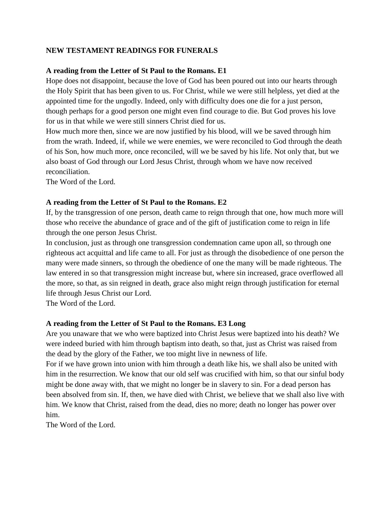### **NEW TESTAMENT READINGS FOR FUNERALS**

#### **A reading from the Letter of St Paul to the Romans. E1**

Hope does not disappoint, because the love of God has been poured out into our hearts through the Holy Spirit that has been given to us. For Christ, while we were still helpless, yet died at the appointed time for the ungodly. Indeed, only with difficulty does one die for a just person, though perhaps for a good person one might even find courage to die. But God proves his love for us in that while we were still sinners Christ died for us.

How much more then, since we are now justified by his blood, will we be saved through him from the wrath. Indeed, if, while we were enemies, we were reconciled to God through the death of his Son, how much more, once reconciled, will we be saved by his life. Not only that, but we also boast of God through our Lord Jesus Christ, through whom we have now received reconciliation.

The Word of the Lord.

#### **A reading from the Letter of St Paul to the Romans. E2**

If, by the transgression of one person, death came to reign through that one, how much more will those who receive the abundance of grace and of the gift of justification come to reign in life through the one person Jesus Christ.

In conclusion, just as through one transgression condemnation came upon all, so through one righteous act acquittal and life came to all. For just as through the disobedience of one person the many were made sinners, so through the obedience of one the many will be made righteous. The law entered in so that transgression might increase but, where sin increased, grace overflowed all the more, so that, as sin reigned in death, grace also might reign through justification for eternal life through Jesus Christ our Lord.

The Word of the Lord.

#### **A reading from the Letter of St Paul to the Romans. E3 Long**

Are you unaware that we who were baptized into Christ Jesus were baptized into his death? We were indeed buried with him through baptism into death, so that, just as Christ was raised from the dead by the glory of the Father, we too might live in newness of life.

For if we have grown into union with him through a death like his, we shall also be united with him in the resurrection. We know that our old self was crucified with him, so that our sinful body might be done away with, that we might no longer be in slavery to sin. For a dead person has been absolved from sin. If, then, we have died with Christ, we believe that we shall also live with him. We know that Christ, raised from the dead, dies no more; death no longer has power over him.

The Word of the Lord.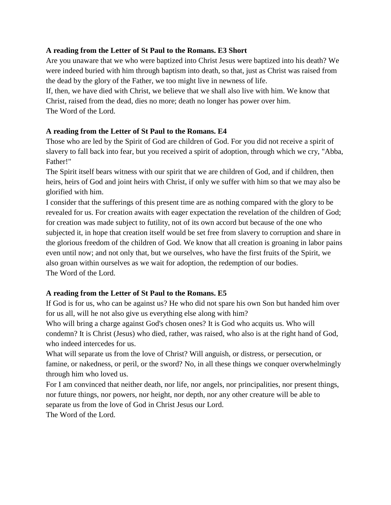### **A reading from the Letter of St Paul to the Romans. E3 Short**

Are you unaware that we who were baptized into Christ Jesus were baptized into his death? We were indeed buried with him through baptism into death, so that, just as Christ was raised from the dead by the glory of the Father, we too might live in newness of life.

If, then, we have died with Christ, we believe that we shall also live with him. We know that Christ, raised from the dead, dies no more; death no longer has power over him. The Word of the Lord.

# **A reading from the Letter of St Paul to the Romans. E4**

Those who are led by the Spirit of God are children of God. For you did not receive a spirit of slavery to fall back into fear, but you received a spirit of adoption, through which we cry, "Abba, Father!"

The Spirit itself bears witness with our spirit that we are children of God, and if children, then heirs, heirs of God and joint heirs with Christ, if only we suffer with him so that we may also be glorified with him.

I consider that the sufferings of this present time are as nothing compared with the glory to be revealed for us. For creation awaits with eager expectation the revelation of the children of God; for creation was made subject to futility, not of its own accord but because of the one who subjected it, in hope that creation itself would be set free from slavery to corruption and share in the glorious freedom of the children of God. We know that all creation is groaning in labor pains even until now; and not only that, but we ourselves, who have the first fruits of the Spirit, we also groan within ourselves as we wait for adoption, the redemption of our bodies. The Word of the Lord.

# **A reading from the Letter of St Paul to the Romans. E5**

If God is for us, who can be against us? He who did not spare his own Son but handed him over for us all, will he not also give us everything else along with him?

Who will bring a charge against God's chosen ones? It is God who acquits us. Who will condemn? It is Christ (Jesus) who died, rather, was raised, who also is at the right hand of God, who indeed intercedes for us.

What will separate us from the love of Christ? Will anguish, or distress, or persecution, or famine, or nakedness, or peril, or the sword? No, in all these things we conquer overwhelmingly through him who loved us.

For I am convinced that neither death, nor life, nor angels, nor principalities, nor present things, nor future things, nor powers, nor height, nor depth, nor any other creature will be able to separate us from the love of God in Christ Jesus our Lord.

The Word of the Lord.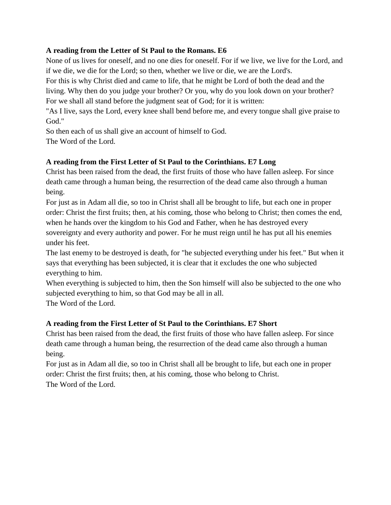## **A reading from the Letter of St Paul to the Romans. E6**

None of us lives for oneself, and no one dies for oneself. For if we live, we live for the Lord, and if we die, we die for the Lord; so then, whether we live or die, we are the Lord's.

For this is why Christ died and came to life, that he might be Lord of both the dead and the living. Why then do you judge your brother? Or you, why do you look down on your brother? For we shall all stand before the judgment seat of God; for it is written:

"As I live, says the Lord, every knee shall bend before me, and every tongue shall give praise to God."

So then each of us shall give an account of himself to God.

The Word of the Lord.

# **A reading from the First Letter of St Paul to the Corinthians. E7 Long**

Christ has been raised from the dead, the first fruits of those who have fallen asleep. For since death came through a human being, the resurrection of the dead came also through a human being.

For just as in Adam all die, so too in Christ shall all be brought to life, but each one in proper order: Christ the first fruits; then, at his coming, those who belong to Christ; then comes the end, when he hands over the kingdom to his God and Father, when he has destroyed every sovereignty and every authority and power. For he must reign until he has put all his enemies under his feet.

The last enemy to be destroyed is death, for "he subjected everything under his feet." But when it says that everything has been subjected, it is clear that it excludes the one who subjected everything to him.

When everything is subjected to him, then the Son himself will also be subjected to the one who subjected everything to him, so that God may be all in all.

The Word of the Lord.

# **A reading from the First Letter of St Paul to the Corinthians. E7 Short**

Christ has been raised from the dead, the first fruits of those who have fallen asleep. For since death came through a human being, the resurrection of the dead came also through a human being.

For just as in Adam all die, so too in Christ shall all be brought to life, but each one in proper order: Christ the first fruits; then, at his coming, those who belong to Christ. The Word of the Lord.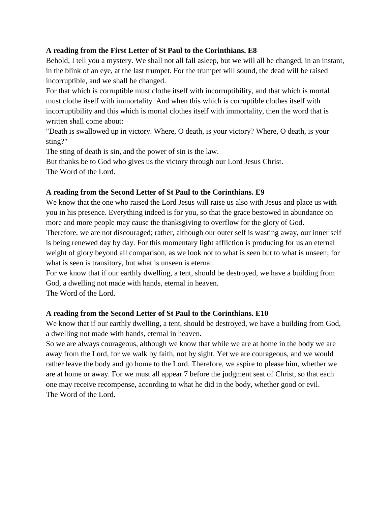### **A reading from the First Letter of St Paul to the Corinthians. E8**

Behold, I tell you a mystery. We shall not all fall asleep, but we will all be changed, in an instant, in the blink of an eye, at the last trumpet. For the trumpet will sound, the dead will be raised incorruptible, and we shall be changed.

For that which is corruptible must clothe itself with incorruptibility, and that which is mortal must clothe itself with immortality. And when this which is corruptible clothes itself with incorruptibility and this which is mortal clothes itself with immortality, then the word that is written shall come about:

"Death is swallowed up in victory. Where, O death, is your victory? Where, O death, is your sting?"

The sting of death is sin, and the power of sin is the law.

But thanks be to God who gives us the victory through our Lord Jesus Christ.

The Word of the Lord.

## **A reading from the Second Letter of St Paul to the Corinthians. E9**

We know that the one who raised the Lord Jesus will raise us also with Jesus and place us with you in his presence. Everything indeed is for you, so that the grace bestowed in abundance on more and more people may cause the thanksgiving to overflow for the glory of God.

Therefore, we are not discouraged; rather, although our outer self is wasting away, our inner self is being renewed day by day. For this momentary light affliction is producing for us an eternal weight of glory beyond all comparison, as we look not to what is seen but to what is unseen; for what is seen is transitory, but what is unseen is eternal.

For we know that if our earthly dwelling, a tent, should be destroyed, we have a building from God, a dwelling not made with hands, eternal in heaven.

The Word of the Lord.

### **A reading from the Second Letter of St Paul to the Corinthians. E10**

We know that if our earthly dwelling, a tent, should be destroyed, we have a building from God, a dwelling not made with hands, eternal in heaven.

So we are always courageous, although we know that while we are at home in the body we are away from the Lord, for we walk by faith, not by sight. Yet we are courageous, and we would rather leave the body and go home to the Lord. Therefore, we aspire to please him, whether we are at home or away. For we must all appear 7 before the judgment seat of Christ, so that each one may receive recompense, according to what he did in the body, whether good or evil. The Word of the Lord.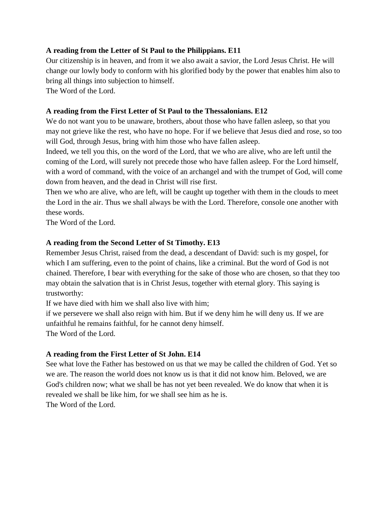### **A reading from the Letter of St Paul to the Philippians. E11**

Our citizenship is in heaven, and from it we also await a savior, the Lord Jesus Christ. He will change our lowly body to conform with his glorified body by the power that enables him also to bring all things into subjection to himself.

The Word of the Lord.

### **A reading from the First Letter of St Paul to the Thessalonians. E12**

We do not want you to be unaware, brothers, about those who have fallen asleep, so that you may not grieve like the rest, who have no hope. For if we believe that Jesus died and rose, so too will God, through Jesus, bring with him those who have fallen asleep.

Indeed, we tell you this, on the word of the Lord, that we who are alive, who are left until the coming of the Lord, will surely not precede those who have fallen asleep. For the Lord himself, with a word of command, with the voice of an archangel and with the trumpet of God, will come down from heaven, and the dead in Christ will rise first.

Then we who are alive, who are left, will be caught up together with them in the clouds to meet the Lord in the air. Thus we shall always be with the Lord. Therefore, console one another with these words.

The Word of the Lord.

#### **A reading from the Second Letter of St Timothy. E13**

Remember Jesus Christ, raised from the dead, a descendant of David: such is my gospel, for which I am suffering, even to the point of chains, like a criminal. But the word of God is not chained. Therefore, I bear with everything for the sake of those who are chosen, so that they too may obtain the salvation that is in Christ Jesus, together with eternal glory. This saying is trustworthy:

If we have died with him we shall also live with him;

if we persevere we shall also reign with him. But if we deny him he will deny us. If we are unfaithful he remains faithful, for he cannot deny himself.

The Word of the Lord.

### **A reading from the First Letter of St John. E14**

See what love the Father has bestowed on us that we may be called the children of God. Yet so we are. The reason the world does not know us is that it did not know him. Beloved, we are God's children now; what we shall be has not yet been revealed. We do know that when it is revealed we shall be like him, for we shall see him as he is. The Word of the Lord.